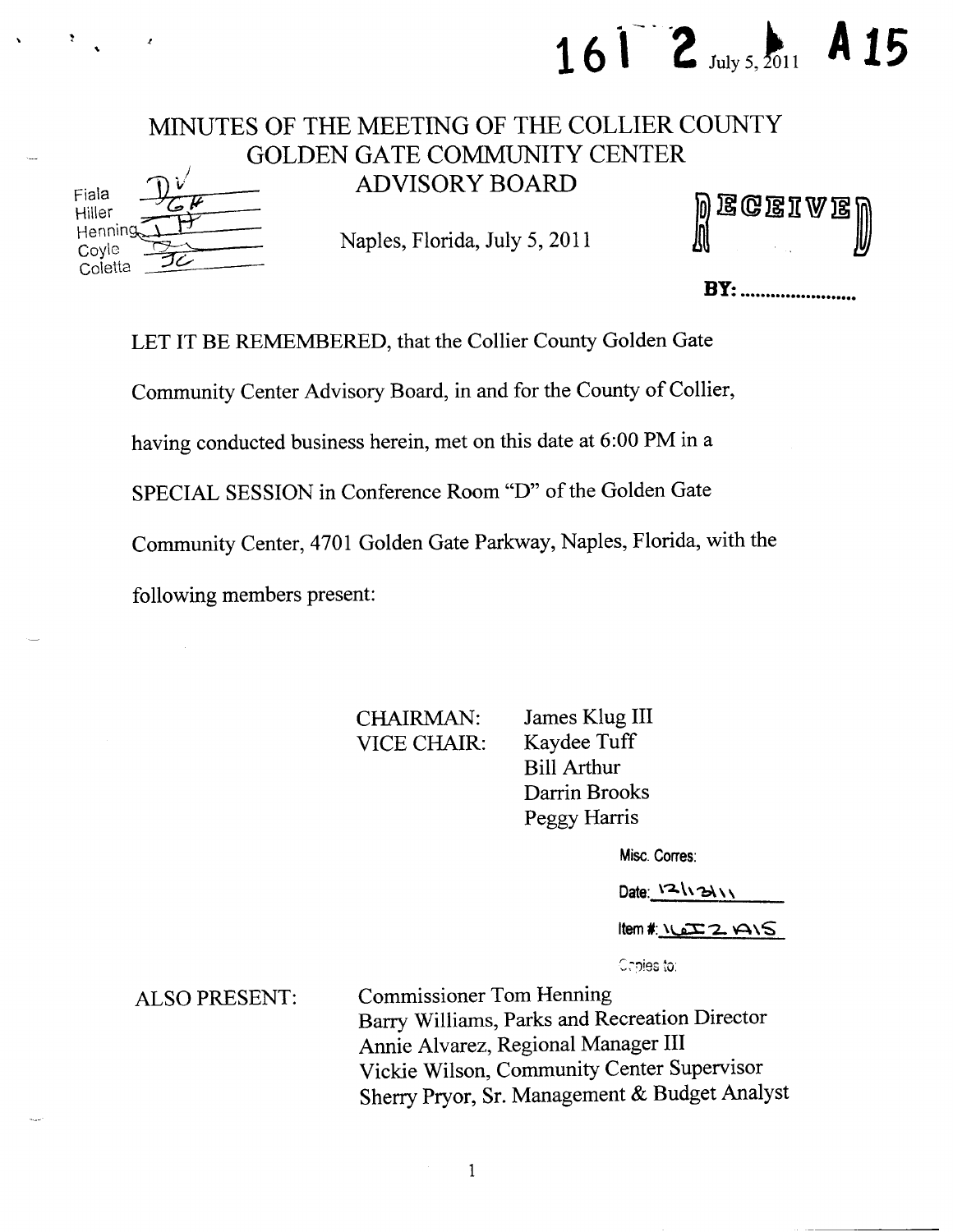### MINUTES OF THE MEETING OF THE COLLIER COUNTY GOLDEN GATE COMMUNITY CENTER Fiala  $\mathbb{D} \checkmark$  ADVISORY BOARD

Hiller <del>Car (1999)</del><br>Henning<del>, 1999</del> Hiller<br>Henning The Maples, Florida, July 5, 2011<br>Coyle Maples, Florida, July 5, 2011 **Coletta** 

|  |  | ) ECEIVE)<br>) |
|--|--|----------------|

16  $\frac{2}{\text{July 5, }2011}$  A 15

**BY:** ..........................

LET IT BE REMEMBERED, that the Collier County Golden Gate

Community Center Advisory Board, in and for the County of Collier,

having conducted business herein, met on this date at 6:00 PM in a

SPECIAL SESSION in Conference Room "D" of the Golden Gate

Community Center, 4701 Golden Gate Parkway, Naples, Florida, with the

following members present:

CHAIRMAN: James Klug III VICE CHAIR: Kaydee Tuff Bill Arthur Darrin Brooks Peggy Harris

Misc. Corres:

Date:  $121311$ 

 $Item$   $k$   $QZ$   $A/S$ 

Copies to:

ALSO PRESENT: Commissioner Tom Henning Barry Williams, Parks and Recreation Director Annie Alvarez, Regional Manager III Vickie Wilson, Community Center Supervisor Sherry Pryor, Sr. Management & Budget Analyst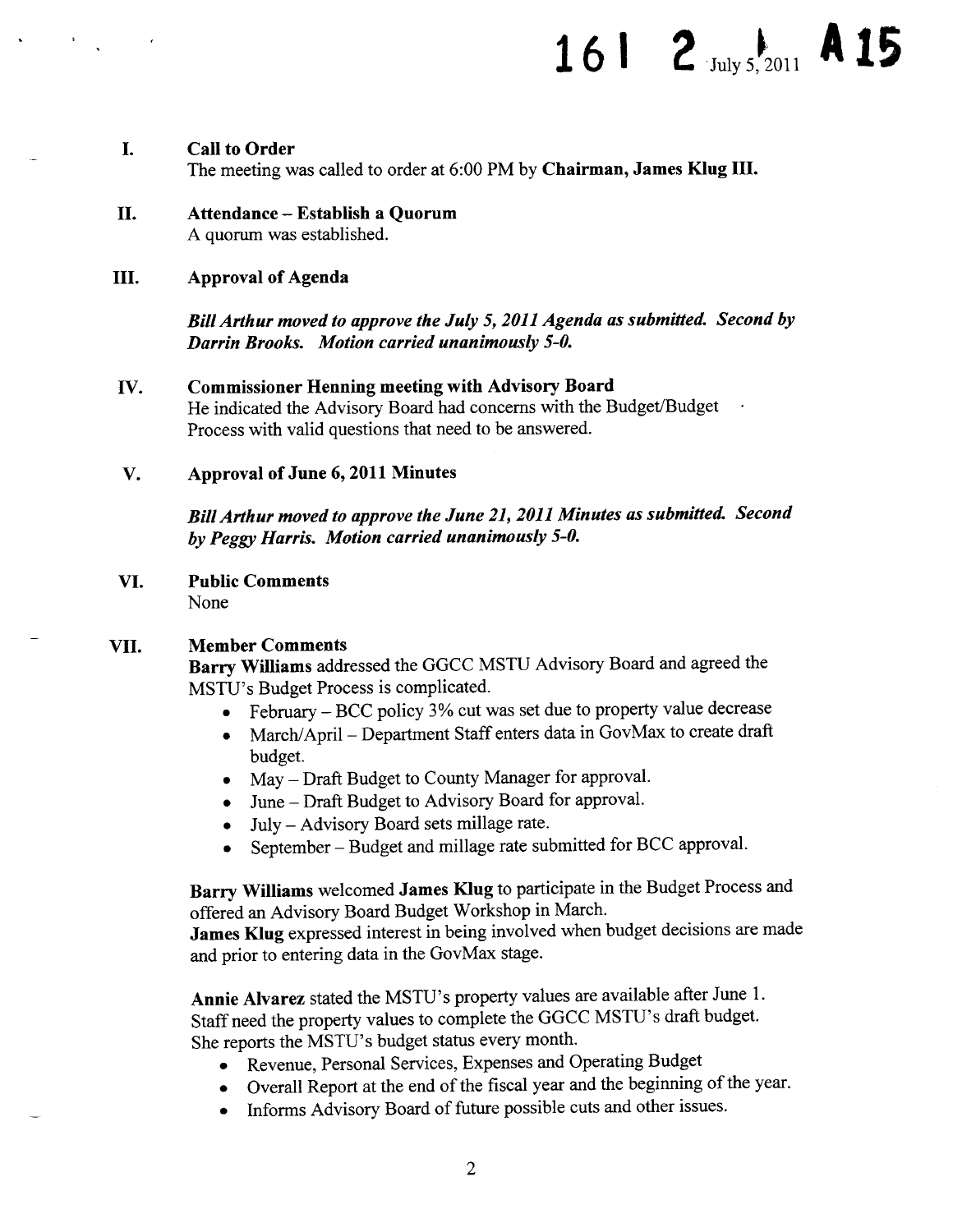## 161 2  $_{\text{July }5,2011}$  A 15

#### L. Call to Order The meeting was called to order at 6:00 PM by Chairman, James Klug III.

- II. Attendance—Establish <sup>a</sup> Quorum A quorum was established.
- III. Approval of Agenda

Bill Arthur moved to approve the July 5, 2011 Agenda as submitted. Second by Darrin Brooks. Motion carried unanimously 5-0.

IV. Commissioner Henning meeting with Advisory Board

He indicated the Advisory Board had concerns with the Budget/Budget Process with valid questions that need to be answered.

#### V. Approval of June 6, 2011 Minutes

BillArthur moved to approve the June 21, 2011 Minutes as submitted. Second by Peggy Harris. Motion carried unanimously 5-0.

VI. Public Comments None

#### VII. Member Comments

Barry Williams addressed the GGCC MSTU Advisory Board and agreed the MSTU's Budget Process is complicated.

- February— BCC policy 3% cut was set due to property value decrease  $\bullet$
- March/April—Department Staff enters data in GovMax to create draft  $\bullet$ budget.
- May Draft Budget to County Manager for approval.
- June— Draft Budget to Advisory Board for approval.
- July—Advisory Board sets millage rate.  $\bullet$
- September— Budget and millage rate submitted for BCC approval.  $\bullet$

Barry Williams welcomed James Klug to participate in the Budget Process and offered an Advisory Board Budget Workshop in March.

James Klug expressed interest in being involved when budget decisions are made and prior to entering data in the GovMax stage.

Annie Alvarez stated the MSTU's property values are available after June 1. Staff need the property values to complete the GGCC MSTU's draft budget. She reports the MSTU's budget status every month.

- Revenue, Personal Services, Expenses and Operating Budget
- Overall Report at the end of the fiscal year and the beginning of the year.
- Informs Advisory Board of future possible cuts and other issues.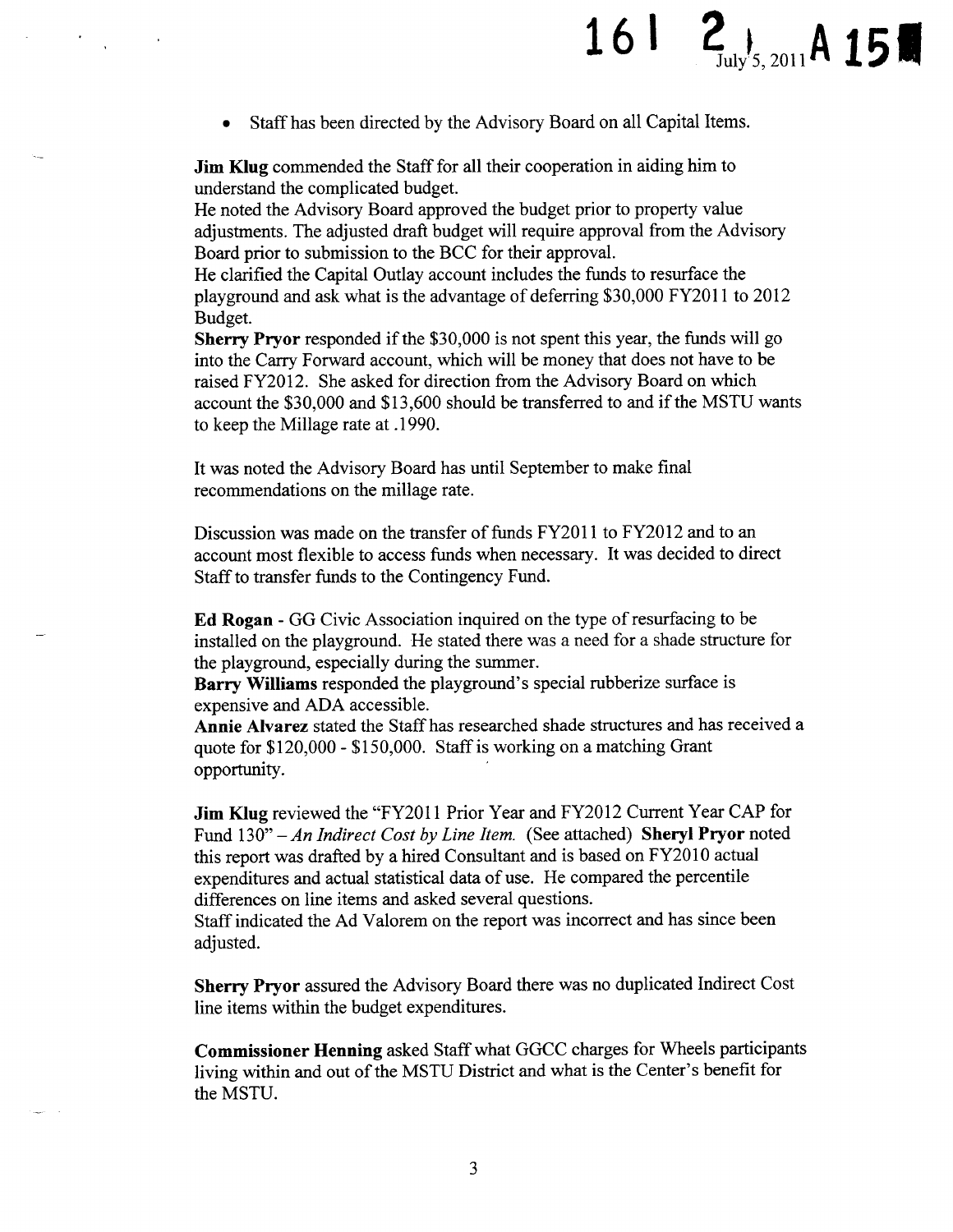# 16  $\frac{2}{J_{\text{uly}}/5,2011}$ A 15

Staff has been directed by the Advisory Board on all Capital Items.

Jim Klug commended the Staff for all their cooperation in aiding him to understand the complicated budget.

He noted the Advisory Board approved the budget prior to property value adjustments. The adjusted draft budget will require approval from the Advisory Board prior to submission to the BCC for their approval.

He clarified the Capital Outlay account includes the funds to resurface the playground and ask what is the advantage of deferring\$ 30, 000 FY2011 to 2012 Budget.

Sherry Pryor responded if the \$30,000 is not spent this year, the funds will go into the Carry Forward account, which will be money that does not have to be raised FY2012. She asked for direction from the Advisory Board on which account the \$30,000 and \$13,600 should be transferred to and if the MSTU wants to keep the Millage rate at . 1990.

It was noted the Advisory Board has until September to make final recommendations on the millage rate.

Discussion was made on the transfer of funds FY2011 to FY2012 and to an account most flexible to access funds when necessary. It was decided to direct Staff to transfer funds to the Contingency Fund.

Ed Rogan - GG Civic Association inquired on the type of resurfacing to be installed on the playground. He stated there was a need for a shade structure for the playground, especially during the summer.

Barry Williams responded the playground's special rubberize surface is expensive and ADA accessible.

Annie Alvarez stated the Staff has researched shade structures and has received a quote for \$120,000 - \$150,000. Staff is working on a matching Grant opportunity.

Jim Klug reviewed the "FY2011 Prior Year and FY2012 Current Year CAP for Fund  $130"$  – An Indirect Cost by Line Item. (See attached) Sheryl Pryor noted this report was drafted by a hired Consultant and is based on FY2010 actual expenditures and actual statistical data of use. He compared the percentile differences on line items and asked several questions. Staff indicated the Ad Valorem on the report was incorrect and has since been

adjusted.

Sherry Pryor assured the Advisory Board there was no duplicated Indirect Cost line items within the budget expenditures.

Commissioner Henning asked Staff what GGCC charges for Wheels participants living within and out of the MSTU District and what is the Center's benefit for the MSTU.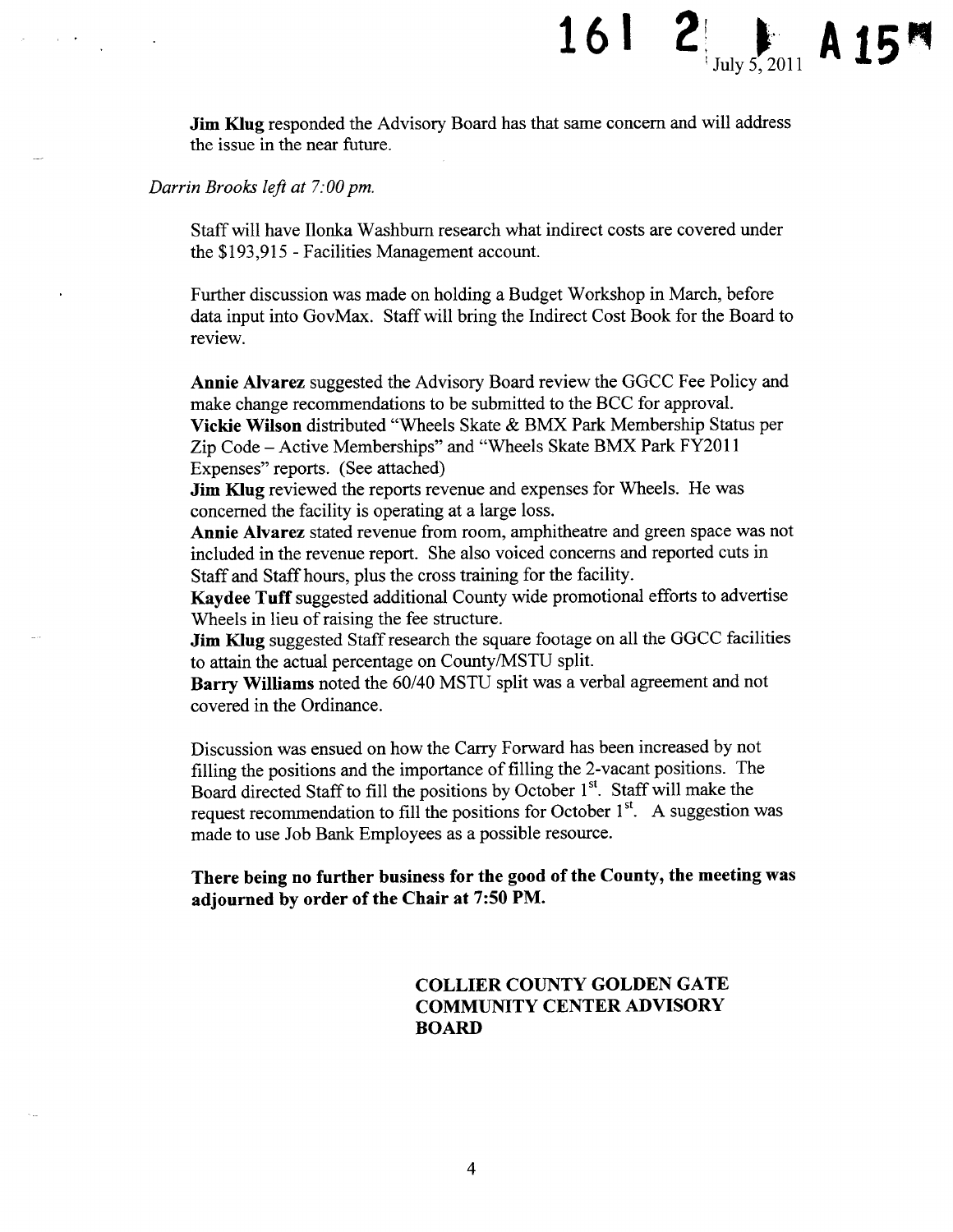Jim Klug responded the Advisory Board has that same concern and will address the issue in the near future.

16 I

July 5, 2011

Darrin Brooks left at 7: 00 pm.

Staffwill have Ilonka Washburn research what indirect costs are covered under the \$193,915 - Facilities Management account.

Further discussion was made on holding a Budget Workshop in March, before data input into GovMax. Staff will bring the Indirect Cost Book for the Board to review.

Annie Alvarez suggested the Advisory Board review the GGCC Fee Policy and make change recommendations to be submitted to the BCC for approval. Vickie Wilson distributed" Wheels Skate & BMX Park Membership Status per Zip Code— Active Memberships" and " Wheels Skate BMX Park FY2011 Expenses" reports. ( See attached)

Jim Klug reviewed the reports revenue and expenses for Wheels. He was concerned the facility is operating at a large loss.

Annie Alvarez stated revenue from room, amphitheatre and green space was not included in the revenue report. She also voiced concerns and reported cuts in Staff and Staff hours, plus the cross training for the facility.

Kaydee Tuff suggested additional County wide promotional efforts to advertise Wheels in lieu of raising the fee structure.

Jim Klug suggested Staff research the square footage on all the GGCC facilities to attain the actual percentage on County/MSTU split.

Barry Williams noted the 60/40 MSTU split was a verbal agreement and not covered in the Ordinance.

Discussion was ensued on how the Carry Forward has been increased by not filling the positions and the importance of filling the 2-vacant positions. The Board directed Staff to fill the positions by October 1<sup>st</sup>. Staff will make the request recommendation to fill the positions for October  $1<sup>st</sup>$ . A suggestion was made to use Job Bank Employees as a possible resource.

There being no further business for the good of the County, the meeting was adjourned by order of the Chair at 7:50 PM.

### COLLIER COUNTY GOLDEN GATE COMMUNITY CENTER ADVISORY BOARD